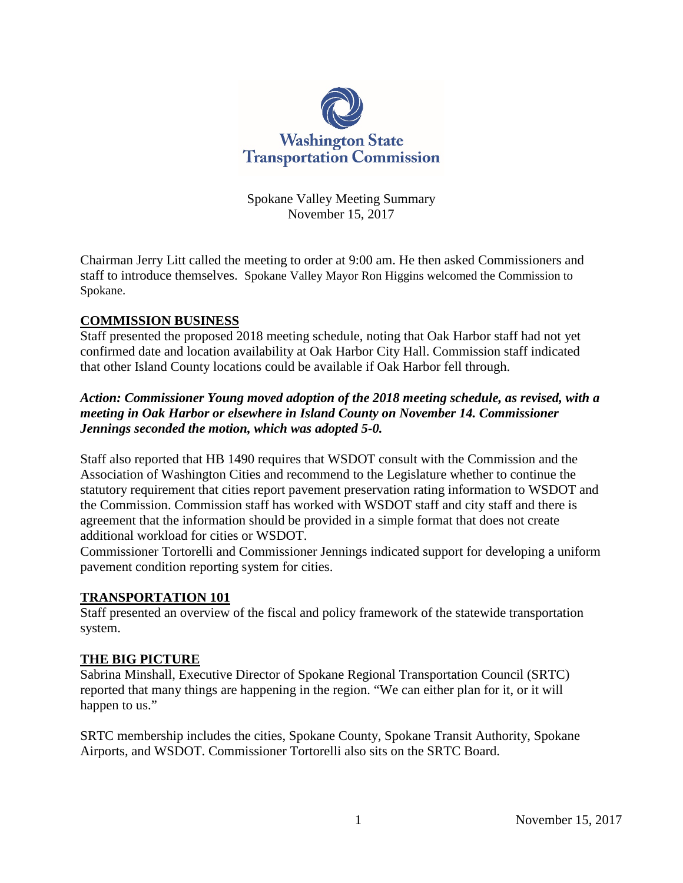

Spokane Valley Meeting Summary November 15, 2017

Chairman Jerry Litt called the meeting to order at 9:00 am. He then asked Commissioners and staff to introduce themselves. Spokane Valley Mayor Ron Higgins welcomed the Commission to Spokane.

### **COMMISSION BUSINESS**

Staff presented the proposed 2018 meeting schedule, noting that Oak Harbor staff had not yet confirmed date and location availability at Oak Harbor City Hall. Commission staff indicated that other Island County locations could be available if Oak Harbor fell through.

# *Action: Commissioner Young moved adoption of the 2018 meeting schedule, as revised, with a meeting in Oak Harbor or elsewhere in Island County on November 14. Commissioner Jennings seconded the motion, which was adopted 5-0.*

Staff also reported that HB 1490 requires that WSDOT consult with the Commission and the Association of Washington Cities and recommend to the Legislature whether to continue the statutory requirement that cities report pavement preservation rating information to WSDOT and the Commission. Commission staff has worked with WSDOT staff and city staff and there is agreement that the information should be provided in a simple format that does not create additional workload for cities or WSDOT.

Commissioner Tortorelli and Commissioner Jennings indicated support for developing a uniform pavement condition reporting system for cities.

#### **TRANSPORTATION 101**

Staff presented an overview of the fiscal and policy framework of the statewide transportation system.

#### **THE BIG PICTURE**

Sabrina Minshall, Executive Director of Spokane Regional Transportation Council (SRTC) reported that many things are happening in the region. "We can either plan for it, or it will happen to us."

SRTC membership includes the cities, Spokane County, Spokane Transit Authority, Spokane Airports, and WSDOT. Commissioner Tortorelli also sits on the SRTC Board.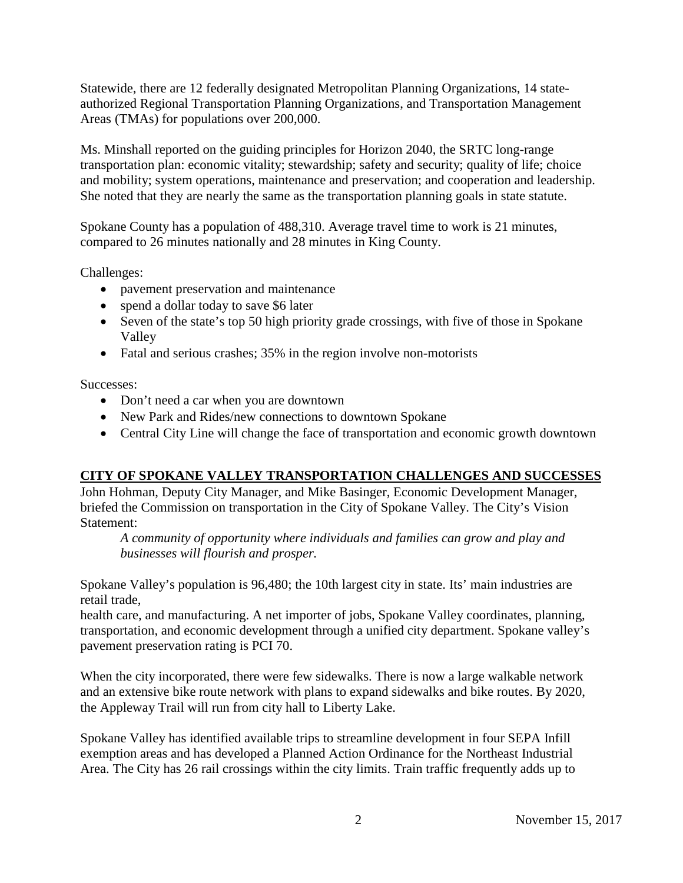Statewide, there are 12 federally designated Metropolitan Planning Organizations, 14 stateauthorized Regional Transportation Planning Organizations, and Transportation Management Areas (TMAs) for populations over 200,000.

Ms. Minshall reported on the guiding principles for Horizon 2040, the SRTC long-range transportation plan: economic vitality; stewardship; safety and security; quality of life; choice and mobility; system operations, maintenance and preservation; and cooperation and leadership. She noted that they are nearly the same as the transportation planning goals in state statute.

Spokane County has a population of 488,310. Average travel time to work is 21 minutes, compared to 26 minutes nationally and 28 minutes in King County.

Challenges:

- pavement preservation and maintenance
- spend a dollar today to save \$6 later
- Seven of the state's top 50 high priority grade crossings, with five of those in Spokane Valley
- Fatal and serious crashes; 35% in the region involve non-motorists

Successes:

- Don't need a car when you are downtown
- New Park and Rides/new connections to downtown Spokane
- Central City Line will change the face of transportation and economic growth downtown

# **CITY OF SPOKANE VALLEY TRANSPORTATION CHALLENGES AND SUCCESSES**

John Hohman, Deputy City Manager, and Mike Basinger, Economic Development Manager, briefed the Commission on transportation in the City of Spokane Valley. The City's Vision Statement:

*A community of opportunity where individuals and families can grow and play and businesses will flourish and prosper.*

Spokane Valley's population is 96,480; the 10th largest city in state. Its' main industries are retail trade,

health care, and manufacturing. A net importer of jobs, Spokane Valley coordinates, planning, transportation, and economic development through a unified city department. Spokane valley's pavement preservation rating is PCI 70.

When the city incorporated, there were few sidewalks. There is now a large walkable network and an extensive bike route network with plans to expand sidewalks and bike routes. By 2020, the Appleway Trail will run from city hall to Liberty Lake.

Spokane Valley has identified available trips to streamline development in four SEPA Infill exemption areas and has developed a Planned Action Ordinance for the Northeast Industrial Area. The City has 26 rail crossings within the city limits. Train traffic frequently adds up to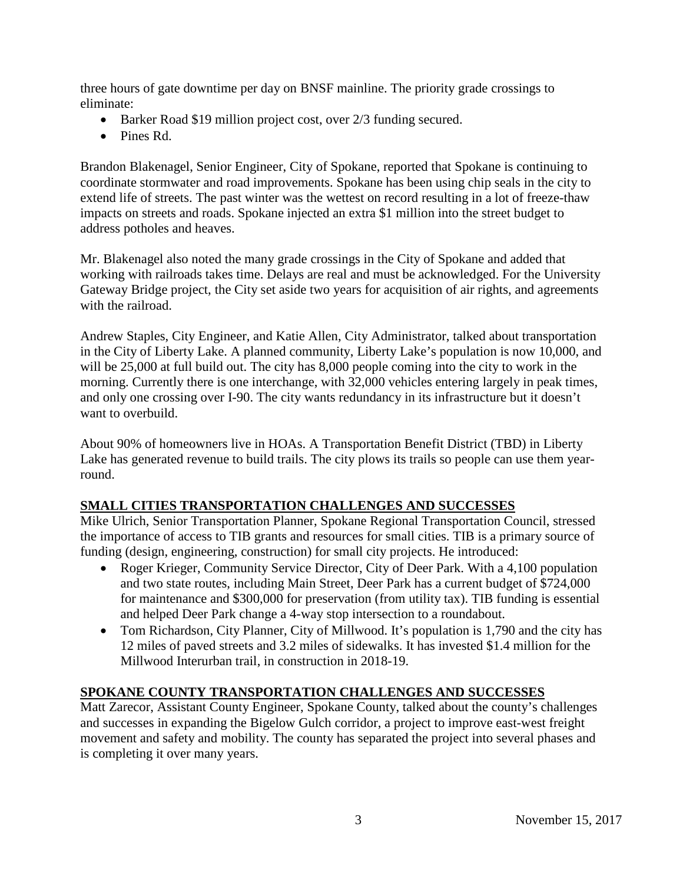three hours of gate downtime per day on BNSF mainline. The priority grade crossings to eliminate:

- Barker Road \$19 million project cost, over 2/3 funding secured.
- Pines Rd.

Brandon Blakenagel, Senior Engineer, City of Spokane, reported that Spokane is continuing to coordinate stormwater and road improvements. Spokane has been using chip seals in the city to extend life of streets. The past winter was the wettest on record resulting in a lot of freeze-thaw impacts on streets and roads. Spokane injected an extra \$1 million into the street budget to address potholes and heaves.

Mr. Blakenagel also noted the many grade crossings in the City of Spokane and added that working with railroads takes time. Delays are real and must be acknowledged. For the University Gateway Bridge project, the City set aside two years for acquisition of air rights, and agreements with the railroad.

Andrew Staples, City Engineer, and Katie Allen, City Administrator, talked about transportation in the City of Liberty Lake. A planned community, Liberty Lake's population is now 10,000, and will be 25,000 at full build out. The city has 8,000 people coming into the city to work in the morning. Currently there is one interchange, with 32,000 vehicles entering largely in peak times, and only one crossing over I-90. The city wants redundancy in its infrastructure but it doesn't want to overbuild.

About 90% of homeowners live in HOAs. A Transportation Benefit District (TBD) in Liberty Lake has generated revenue to build trails. The city plows its trails so people can use them yearround.

# **SMALL CITIES TRANSPORTATION CHALLENGES AND SUCCESSES**

Mike Ulrich, Senior Transportation Planner, Spokane Regional Transportation Council, stressed the importance of access to TIB grants and resources for small cities. TIB is a primary source of funding (design, engineering, construction) for small city projects. He introduced:

- Roger Krieger, Community Service Director, City of Deer Park. With a 4,100 population and two state routes, including Main Street, Deer Park has a current budget of \$724,000 for maintenance and \$300,000 for preservation (from utility tax). TIB funding is essential and helped Deer Park change a 4-way stop intersection to a roundabout.
- Tom Richardson, City Planner, City of Millwood. It's population is 1,790 and the city has 12 miles of paved streets and 3.2 miles of sidewalks. It has invested \$1.4 million for the Millwood Interurban trail, in construction in 2018-19.

# **SPOKANE COUNTY TRANSPORTATION CHALLENGES AND SUCCESSES**

Matt Zarecor, Assistant County Engineer, Spokane County, talked about the county's challenges and successes in expanding the Bigelow Gulch corridor, a project to improve east-west freight movement and safety and mobility. The county has separated the project into several phases and is completing it over many years.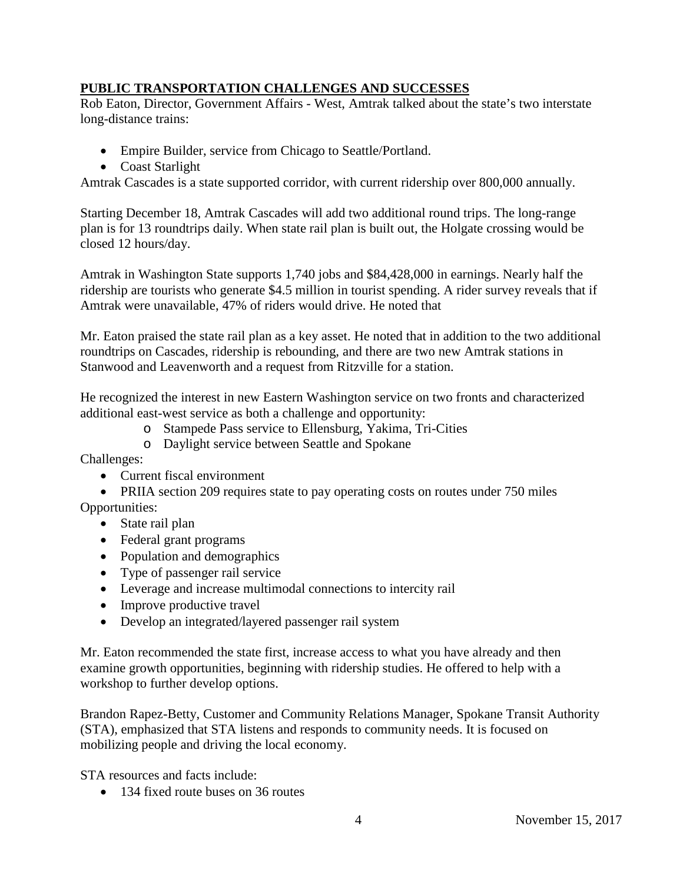# **PUBLIC TRANSPORTATION CHALLENGES AND SUCCESSES**

Rob Eaton, Director, Government Affairs - West, Amtrak talked about the state's two interstate long-distance trains:

- Empire Builder, service from Chicago to Seattle/Portland.
- Coast Starlight

Amtrak Cascades is a state supported corridor, with current ridership over 800,000 annually.

Starting December 18, Amtrak Cascades will add two additional round trips. The long-range plan is for 13 roundtrips daily. When state rail plan is built out, the Holgate crossing would be closed 12 hours/day.

Amtrak in Washington State supports 1,740 jobs and \$84,428,000 in earnings. Nearly half the ridership are tourists who generate \$4.5 million in tourist spending. A rider survey reveals that if Amtrak were unavailable, 47% of riders would drive. He noted that

Mr. Eaton praised the state rail plan as a key asset. He noted that in addition to the two additional roundtrips on Cascades, ridership is rebounding, and there are two new Amtrak stations in Stanwood and Leavenworth and a request from Ritzville for a station.

He recognized the interest in new Eastern Washington service on two fronts and characterized additional east-west service as both a challenge and opportunity:

- o Stampede Pass service to Ellensburg, Yakima, Tri-Cities
- o Daylight service between Seattle and Spokane

Challenges:

- Current fiscal environment
- PRIIA section 209 requires state to pay operating costs on routes under 750 miles Opportunities:
	- State rail plan
	- Federal grant programs
	- Population and demographics
	- Type of passenger rail service
	- Leverage and increase multimodal connections to intercity rail
	- Improve productive travel
	- Develop an integrated/layered passenger rail system

Mr. Eaton recommended the state first, increase access to what you have already and then examine growth opportunities, beginning with ridership studies. He offered to help with a workshop to further develop options.

Brandon Rapez-Betty, Customer and Community Relations Manager, Spokane Transit Authority (STA), emphasized that STA listens and responds to community needs. It is focused on mobilizing people and driving the local economy.

STA resources and facts include:

• 134 fixed route buses on 36 routes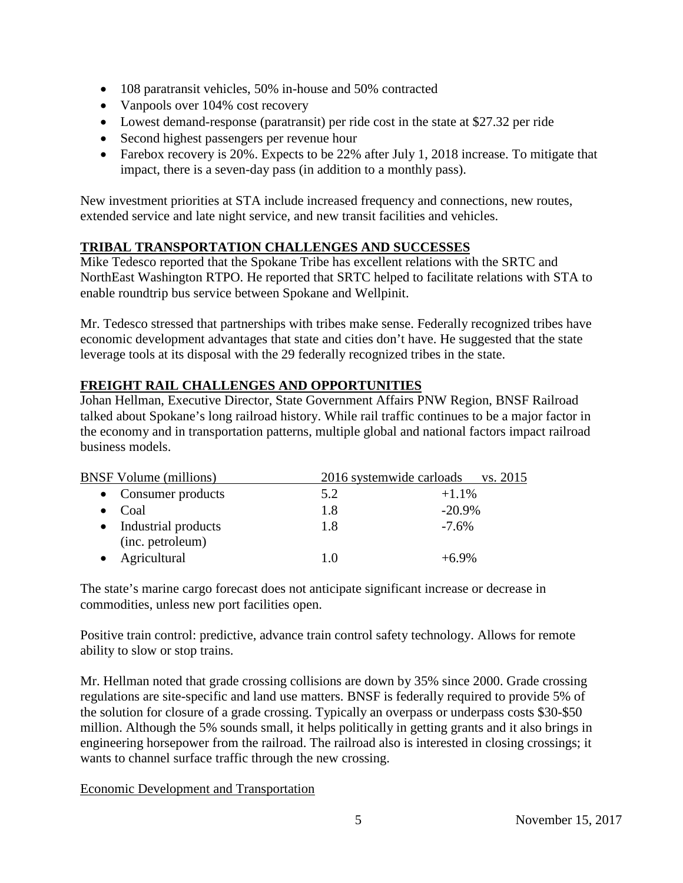- 108 paratransit vehicles, 50% in-house and 50% contracted
- Vanpools over 104% cost recovery
- Lowest demand-response (paratransit) per ride cost in the state at \$27.32 per ride
- Second highest passengers per revenue hour
- Farebox recovery is 20%. Expects to be 22% after July 1, 2018 increase. To mitigate that impact, there is a seven-day pass (in addition to a monthly pass).

New investment priorities at STA include increased frequency and connections, new routes, extended service and late night service, and new transit facilities and vehicles.

# **TRIBAL TRANSPORTATION CHALLENGES AND SUCCESSES**

Mike Tedesco reported that the Spokane Tribe has excellent relations with the SRTC and NorthEast Washington RTPO. He reported that SRTC helped to facilitate relations with STA to enable roundtrip bus service between Spokane and Wellpinit.

Mr. Tedesco stressed that partnerships with tribes make sense. Federally recognized tribes have economic development advantages that state and cities don't have. He suggested that the state leverage tools at its disposal with the 29 federally recognized tribes in the state.

# **FREIGHT RAIL CHALLENGES AND OPPORTUNITIES**

Johan Hellman, Executive Director, State Government Affairs PNW Region, BNSF Railroad talked about Spokane's long railroad history. While rail traffic continues to be a major factor in the economy and in transportation patterns, multiple global and national factors impact railroad business models.

| <b>BNSF</b> Volume (millions)             |     | 2016 systemwide carloads<br>vs. 2015 |  |
|-------------------------------------------|-----|--------------------------------------|--|
| • Consumer products                       | 5.2 | $+1.1\%$                             |  |
| Coal                                      | 1.8 | $-20.9%$                             |  |
| • Industrial products<br>(inc. petroleum) | 1.8 | $-7.6\%$                             |  |
| Agricultural                              | 10  | $+69%$                               |  |

The state's marine cargo forecast does not anticipate significant increase or decrease in commodities, unless new port facilities open.

Positive train control: predictive, advance train control safety technology. Allows for remote ability to slow or stop trains.

Mr. Hellman noted that grade crossing collisions are down by 35% since 2000. Grade crossing regulations are site-specific and land use matters. BNSF is federally required to provide 5% of the solution for closure of a grade crossing. Typically an overpass or underpass costs \$30-\$50 million. Although the 5% sounds small, it helps politically in getting grants and it also brings in engineering horsepower from the railroad. The railroad also is interested in closing crossings; it wants to channel surface traffic through the new crossing.

# Economic Development and Transportation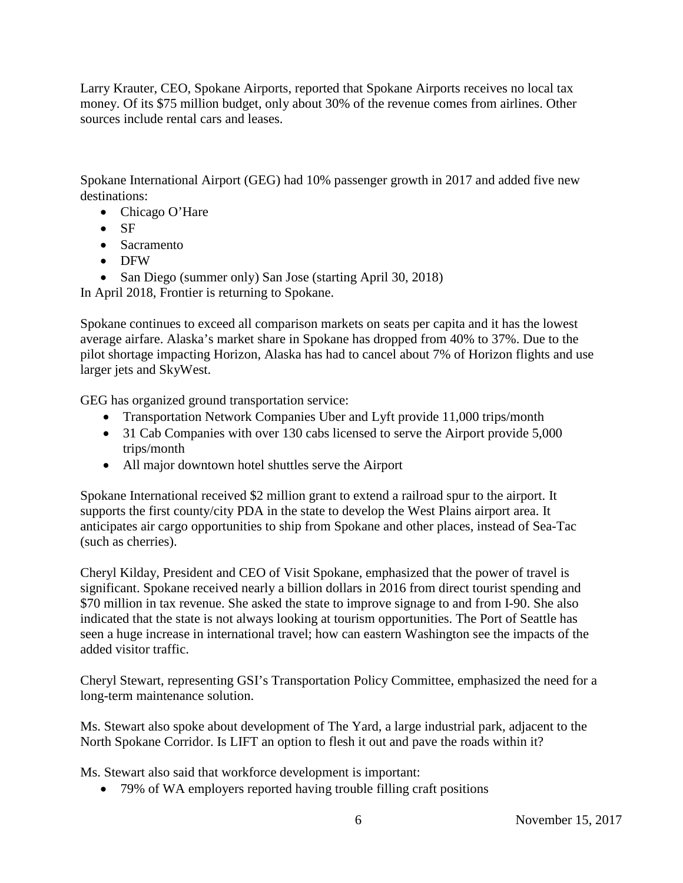Larry Krauter, CEO, Spokane Airports, reported that Spokane Airports receives no local tax money. Of its \$75 million budget, only about 30% of the revenue comes from airlines. Other sources include rental cars and leases.

Spokane International Airport (GEG) had 10% passenger growth in 2017 and added five new destinations:

- Chicago O'Hare
- SF
- Sacramento
- DFW

• San Diego (summer only) San Jose (starting April 30, 2018)

In April 2018, Frontier is returning to Spokane.

Spokane continues to exceed all comparison markets on seats per capita and it has the lowest average airfare. Alaska's market share in Spokane has dropped from 40% to 37%. Due to the pilot shortage impacting Horizon, Alaska has had to cancel about 7% of Horizon flights and use larger jets and SkyWest.

GEG has organized ground transportation service:

- Transportation Network Companies Uber and Lyft provide 11,000 trips/month
- 31 Cab Companies with over 130 cabs licensed to serve the Airport provide 5,000 trips/month
- All major downtown hotel shuttles serve the Airport

Spokane International received \$2 million grant to extend a railroad spur to the airport. It supports the first county/city PDA in the state to develop the West Plains airport area. It anticipates air cargo opportunities to ship from Spokane and other places, instead of Sea-Tac (such as cherries).

Cheryl Kilday, President and CEO of Visit Spokane, emphasized that the power of travel is significant. Spokane received nearly a billion dollars in 2016 from direct tourist spending and \$70 million in tax revenue. She asked the state to improve signage to and from I-90. She also indicated that the state is not always looking at tourism opportunities. The Port of Seattle has seen a huge increase in international travel; how can eastern Washington see the impacts of the added visitor traffic.

Cheryl Stewart, representing GSI's Transportation Policy Committee, emphasized the need for a long-term maintenance solution.

Ms. Stewart also spoke about development of The Yard, a large industrial park, adjacent to the North Spokane Corridor. Is LIFT an option to flesh it out and pave the roads within it?

Ms. Stewart also said that workforce development is important:

• 79% of WA employers reported having trouble filling craft positions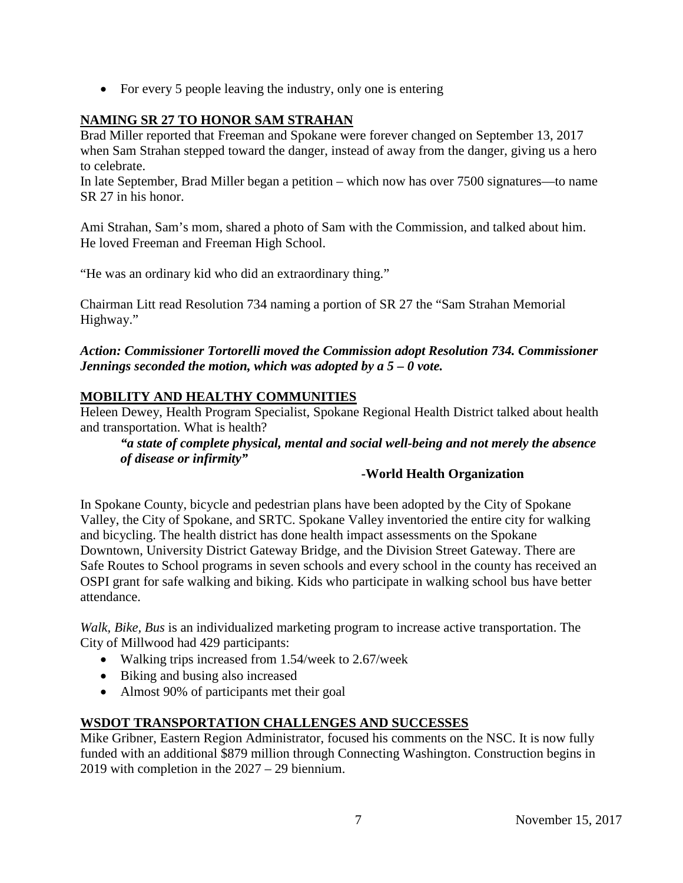• For every 5 people leaving the industry, only one is entering

# **NAMING SR 27 TO HONOR SAM STRAHAN**

Brad Miller reported that Freeman and Spokane were forever changed on September 13, 2017 when Sam Strahan stepped toward the danger, instead of away from the danger, giving us a hero to celebrate.

In late September, Brad Miller began a petition – which now has over 7500 signatures—to name SR 27 in his honor.

Ami Strahan, Sam's mom, shared a photo of Sam with the Commission, and talked about him. He loved Freeman and Freeman High School.

"He was an ordinary kid who did an extraordinary thing."

Chairman Litt read Resolution 734 naming a portion of SR 27 the "Sam Strahan Memorial Highway."

### *Action: Commissioner Tortorelli moved the Commission adopt Resolution 734. Commissioner Jennings seconded the motion, which was adopted by a 5 – 0 vote.*

# **MOBILITY AND HEALTHY COMMUNITIES**

Heleen Dewey, Health Program Specialist, Spokane Regional Health District talked about health and transportation. What is health?

# *"a state of complete physical, mental and social well-being and not merely the absence of disease or infirmity"*

# **-World Health Organization**

In Spokane County, bicycle and pedestrian plans have been adopted by the City of Spokane Valley, the City of Spokane, and SRTC. Spokane Valley inventoried the entire city for walking and bicycling. The health district has done health impact assessments on the Spokane Downtown, University District Gateway Bridge, and the Division Street Gateway. There are Safe Routes to School programs in seven schools and every school in the county has received an OSPI grant for safe walking and biking. Kids who participate in walking school bus have better attendance.

*Walk, Bike, Bus* is an individualized marketing program to increase active transportation. The City of Millwood had 429 participants:

- Walking trips increased from 1.54/week to 2.67/week
- Biking and busing also increased
- Almost 90% of participants met their goal

# **WSDOT TRANSPORTATION CHALLENGES AND SUCCESSES**

Mike Gribner, Eastern Region Administrator, focused his comments on the NSC. It is now fully funded with an additional \$879 million through Connecting Washington. Construction begins in 2019 with completion in the 2027 – 29 biennium.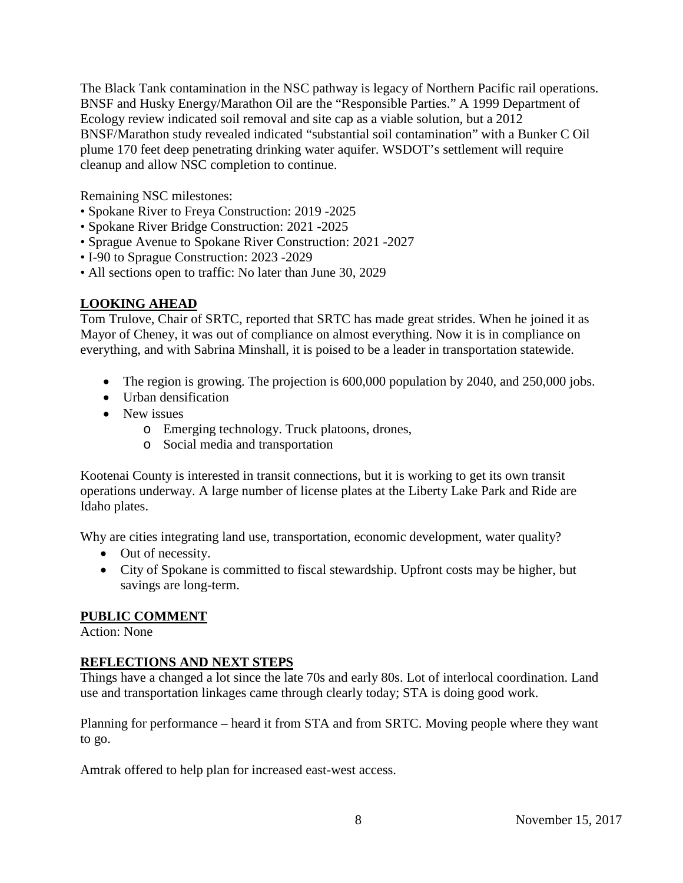The Black Tank contamination in the NSC pathway is legacy of Northern Pacific rail operations. BNSF and Husky Energy/Marathon Oil are the "Responsible Parties." A 1999 Department of Ecology review indicated soil removal and site cap as a viable solution, but a 2012 BNSF/Marathon study revealed indicated "substantial soil contamination" with a Bunker C Oil plume 170 feet deep penetrating drinking water aquifer. WSDOT's settlement will require cleanup and allow NSC completion to continue.

Remaining NSC milestones:

- Spokane River to Freya Construction: 2019 -2025
- Spokane River Bridge Construction: 2021 -2025
- Sprague Avenue to Spokane River Construction: 2021 -2027
- I-90 to Sprague Construction: 2023 -2029
- All sections open to traffic: No later than June 30, 2029

# **LOOKING AHEAD**

Tom Trulove, Chair of SRTC, reported that SRTC has made great strides. When he joined it as Mayor of Cheney, it was out of compliance on almost everything. Now it is in compliance on everything, and with Sabrina Minshall, it is poised to be a leader in transportation statewide.

- The region is growing. The projection is 600,000 population by 2040, and 250,000 jobs.
- Urban densification
- New issues
	- o Emerging technology. Truck platoons, drones,
	- o Social media and transportation

Kootenai County is interested in transit connections, but it is working to get its own transit operations underway. A large number of license plates at the Liberty Lake Park and Ride are Idaho plates.

Why are cities integrating land use, transportation, economic development, water quality?

- Out of necessity.
- City of Spokane is committed to fiscal stewardship. Upfront costs may be higher, but savings are long-term.

#### **PUBLIC COMMENT**

Action: None

# **REFLECTIONS AND NEXT STEPS**

Things have a changed a lot since the late 70s and early 80s. Lot of interlocal coordination. Land use and transportation linkages came through clearly today; STA is doing good work.

Planning for performance – heard it from STA and from SRTC. Moving people where they want to go.

Amtrak offered to help plan for increased east-west access.